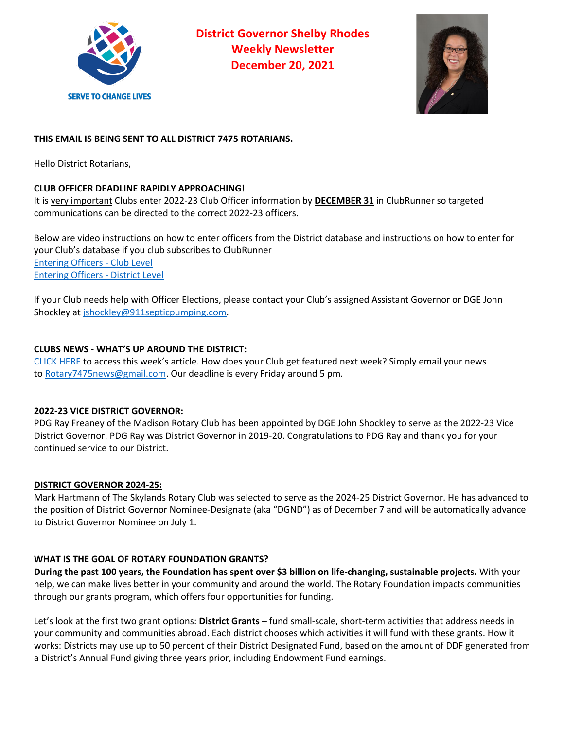

**District Governor Shelby Rhodes Weekly Newsletter December 20, 2021**



# **THIS EMAIL IS BEING SENT TO ALL DISTRICT 7475 ROTARIANS.**

Hello District Rotarians,

# **CLUB OFFICER DEADLINE RAPIDLY APPROACHING!**

It is very important Clubs enter 2022-23 Club Officer information by **DECEMBER 31** in ClubRunner so targeted communications can be directed to the correct 2022-23 officers.

Below are video instructions on how to enter officers from the District database and instructions on how to enter for your Club's database if you club subscribes to ClubRunner Entering Officers - Club Level Entering Officers - District Level

If your Club needs help with Officer Elections, please contact your Club's assigned Assistant Governor or DGE John Shockley at jshockley@911septicpumping.com.

### **CLUBS NEWS - WHAT'S UP AROUND THE DISTRICT:**

CLICK HERE to access this week's article. How does your Club get featured next week? Simply email your news to Rotary7475news@gmail.com. Our deadline is every Friday around 5 pm.

### **2022-23 VICE DISTRICT GOVERNOR:**

PDG Ray Freaney of the Madison Rotary Club has been appointed by DGE John Shockley to serve as the 2022-23 Vice District Governor. PDG Ray was District Governor in 2019-20. Congratulations to PDG Ray and thank you for your continued service to our District.

### **DISTRICT GOVERNOR 2024-25:**

Mark Hartmann of The Skylands Rotary Club was selected to serve as the 2024-25 District Governor. He has advanced to the position of District Governor Nominee-Designate (aka "DGND") as of December 7 and will be automatically advance to District Governor Nominee on July 1.

# **WHAT IS THE GOAL OF ROTARY FOUNDATION GRANTS?**

**During the past 100 years, the Foundation has spent over \$3 billion on life-changing, sustainable projects.** With your help, we can make lives better in your community and around the world. The Rotary Foundation impacts communities through our grants program, which offers four opportunities for funding.

Let's look at the first two grant options: **District Grants** – fund small-scale, short-term activities that address needs in your community and communities abroad. Each district chooses which activities it will fund with these grants. How it works: Districts may use up to 50 percent of their District Designated Fund, based on the amount of DDF generated from a District's Annual Fund giving three years prior, including Endowment Fund earnings.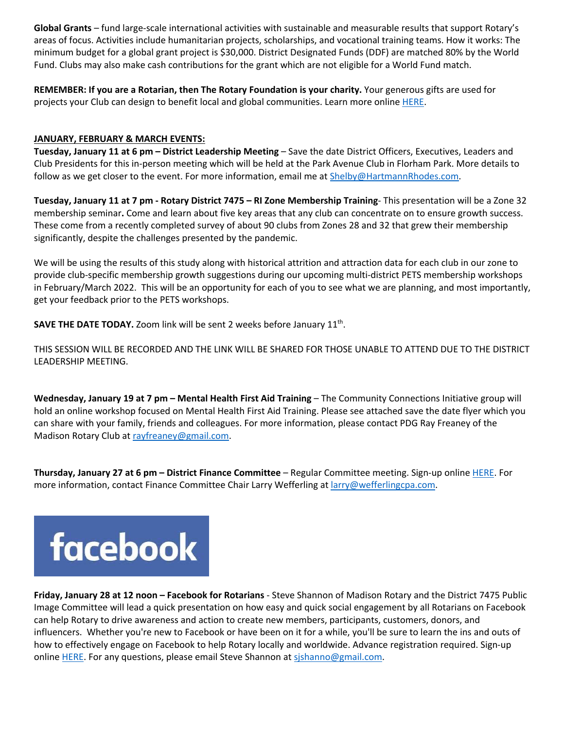**Global Grants** – fund large-scale international activities with sustainable and measurable results that support Rotary's areas of focus. Activities include humanitarian projects, scholarships, and vocational training teams. How it works: The minimum budget for a global grant project is \$30,000. District Designated Funds (DDF) are matched 80% by the World Fund. Clubs may also make cash contributions for the grant which are not eligible for a World Fund match.

**REMEMBER: If you are a Rotarian, then The Rotary Foundation is your charity.** Your generous gifts are used for projects your Club can design to benefit local and global communities. Learn more online HERE.

### **JANUARY, FEBRUARY & MARCH EVENTS:**

**Tuesday, January 11 at 6 pm – District Leadership Meeting** – Save the date District Officers, Executives, Leaders and Club Presidents for this in-person meeting which will be held at the Park Avenue Club in Florham Park. More details to follow as we get closer to the event. For more information, email me at **Shelby@HartmannRhodes.com**.

**Tuesday, January 11 at 7 pm - Rotary District 7475 – RI Zone Membership Training**- This presentation will be a Zone 32 membership seminar**.** Come and learn about five key areas that any club can concentrate on to ensure growth success. These come from a recently completed survey of about 90 clubs from Zones 28 and 32 that grew their membership significantly, despite the challenges presented by the pandemic.

We will be using the results of this study along with historical attrition and attraction data for each club in our zone to provide club-specific membership growth suggestions during our upcoming multi-district PETS membership workshops in February/March 2022. This will be an opportunity for each of you to see what we are planning, and most importantly, get your feedback prior to the PETS workshops.

**SAVE THE DATE TODAY.** Zoom link will be sent 2 weeks before January 11<sup>th</sup>.

THIS SESSION WILL BE RECORDED AND THE LINK WILL BE SHARED FOR THOSE UNABLE TO ATTEND DUE TO THE DISTRICT LEADERSHIP MEETING.

**Wednesday, January 19 at 7 pm – Mental Health First Aid Training** – The Community Connections Initiative group will hold an online workshop focused on Mental Health First Aid Training. Please see attached save the date flyer which you can share with your family, friends and colleagues. For more information, please contact PDG Ray Freaney of the Madison Rotary Club at rayfreaney@gmail.com.

**Thursday, January 27 at 6 pm – District Finance Committee** – Regular Committee meeting. Sign-up online HERE. For more information, contact Finance Committee Chair Larry Wefferling at larry@wefferlingcpa.com.



**Friday, January 28 at 12 noon – Facebook for Rotarians** - Steve Shannon of Madison Rotary and the District 7475 Public Image Committee will lead a quick presentation on how easy and quick social engagement by all Rotarians on Facebook can help Rotary to drive awareness and action to create new members, participants, customers, donors, and influencers. Whether you're new to Facebook or have been on it for a while, you'll be sure to learn the ins and outs of how to effectively engage on Facebook to help Rotary locally and worldwide. Advance registration required. Sign-up online HERE. For any questions, please email Steve Shannon at sjshanno@gmail.com.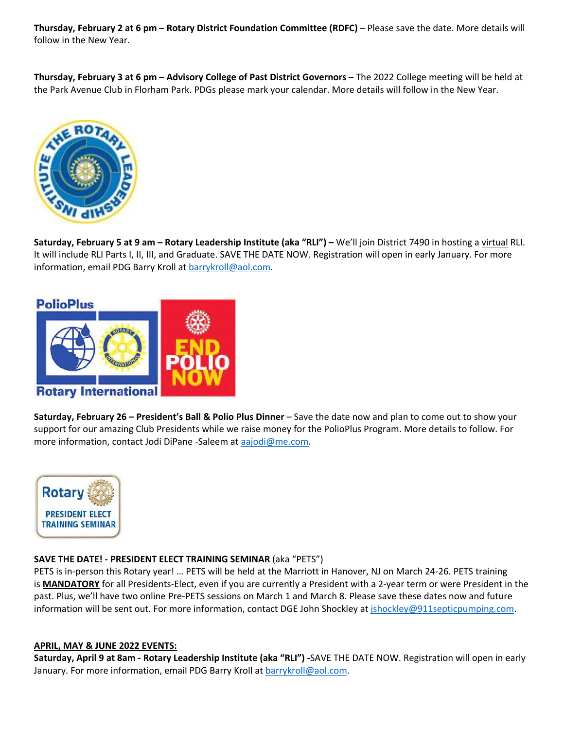**Thursday, February 2 at 6 pm – Rotary District Foundation Committee (RDFC)** – Please save the date. More details will follow in the New Year.

**Thursday, February 3 at 6 pm – Advisory College of Past District Governors** – The 2022 College meeting will be held at the Park Avenue Club in Florham Park. PDGs please mark your calendar. More details will follow in the New Year.



**Saturday, February 5 at 9 am – Rotary Leadership Institute (aka "RLI") –** We'll join District 7490 in hosting a virtual RLI. It will include RLI Parts I, II, III, and Graduate. SAVE THE DATE NOW. Registration will open in early January. For more information, email PDG Barry Kroll at barrykroll@aol.com.



**Saturday, February 26 – President's Ball & Polio Plus Dinner** – Save the date now and plan to come out to show your support for our amazing Club Presidents while we raise money for the PolioPlus Program. More details to follow. For more information, contact Jodi DiPane -Saleem at aajodi@me.com.



### **SAVE THE DATE! - PRESIDENT ELECT TRAINING SEMINAR** (aka "PETS")

PETS is in-person this Rotary year! … PETS will be held at the Marriott in Hanover, NJ on March 24-26. PETS training is **MANDATORY** for all Presidents-Elect, even if you are currently a President with a 2-year term or were President in the past. Plus, we'll have two online Pre-PETS sessions on March 1 and March 8. Please save these dates now and future information will be sent out. For more information, contact DGE John Shockley at jshockley@911septicpumping.com.

### **APRIL, MAY & JUNE 2022 EVENTS:**

**Saturday, April 9 at 8am - Rotary Leadership Institute (aka "RLI") -**SAVE THE DATE NOW. Registration will open in early January. For more information, email PDG Barry Kroll at **barrykroll@aol.com**.